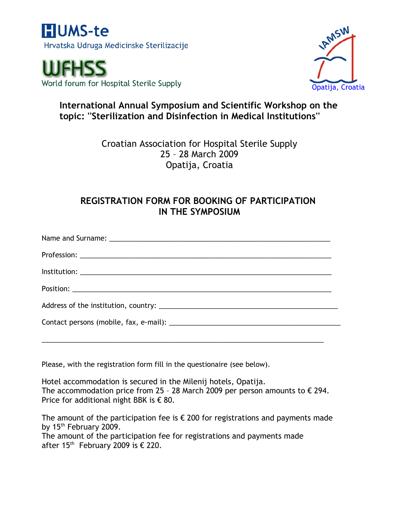

World forum for Hospital Sterile Supply



# **International Annual Symposium and Scientific Workshop on the topic: ''Sterilization and Disinfection in Medical Institutions''**

Croatian Association for Hospital Sterile Supply 25 – 28 March 2009 Opatija, Croatia

## **REGISTRATION FORM FOR BOOKING OF PARTICIPATION IN THE SYMPOSIUM**

Please, with the registration form fill in the questionaire (see below).

Hotel accommodation is secured in the Milenij hotels, Opatija. The accommodation price from 25 - 28 March 2009 per person amounts to  $\epsilon$  294. Price for additional night BBK is  $\epsilon$  80.

The amount of the participation fee is  $\epsilon$  200 for registrations and payments made by  $15<sup>th</sup>$  February 2009.

The amount of the participation fee for registrations and payments made after 15<sup>th</sup> February 2009 is  $\epsilon$  220.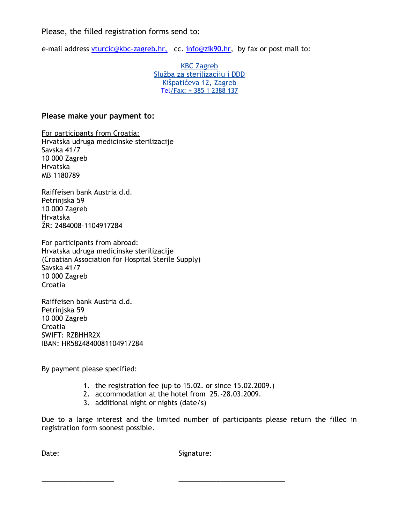### Please, the filled registration forms send to:

e-mail address vturcic@kbc-zagreb.hr, cc. [info@zik90.hr,](mailto:info@zik90.hr) by fax or post mail to:

KBC Zagreb Služba za sterilizaciju i DDD Kišpatićeva 12, Zagreb Tel/Fax: + 385 1 2388 137

#### **Please make your payment to:**

For participants from Croatia: Hrvatska udruga medicinske sterilizacije Savska 41/7 10 000 Zagreb Hrvatska MB 1180789

Raiffeisen bank Austria d.d. Petriniska 59 10 000 Zagreb Hrvatska ŽR: 2484008-1104917284

For participants from abroad: Hrvatska udruga medicinske sterilizacije (Croatian Association for Hospital Sterile Supply) Savska 41/7 10 000 Zagreb Croatia

Raiffeisen bank Austria d.d. Petriniska 59 10 000 Zagreb Croatia SWIFT: RZBHHR2X IBAN: HR5824840081104917284

By payment please specified:

- 1. the registration fee (up to 15.02. or since 15.02.2009.)
- 2. accommodation at the hotel from 25.-28.03.2009.

\_\_\_\_\_\_\_\_\_\_\_\_\_\_\_\_\_\_\_ \_\_\_\_\_\_\_\_\_\_\_\_\_\_\_\_\_\_\_\_\_\_\_\_\_\_\_\_

3. additional night or nights (date/s)

Due to a large interest and the limited number of participants please return the filled in registration form soonest possible.

Date: Signature: Signature: